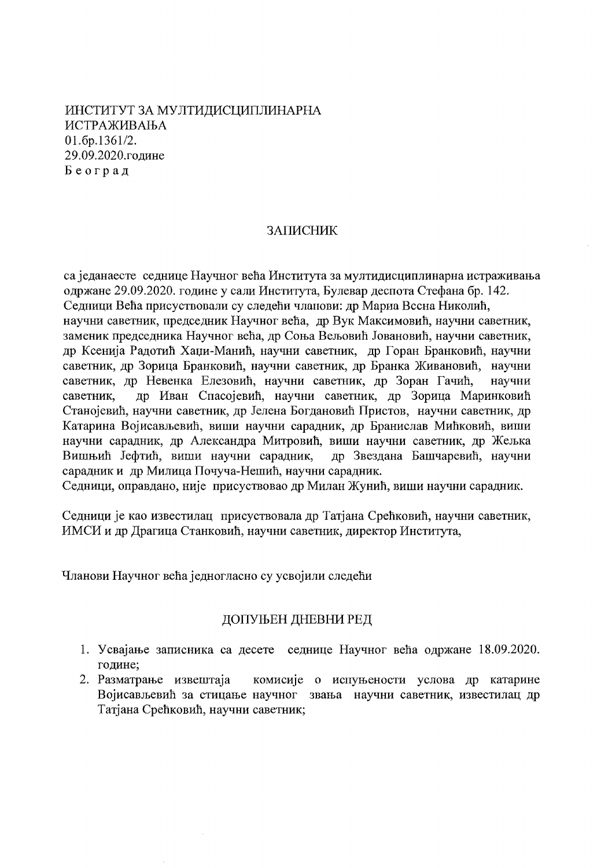ИНСТИТУТ ЗА МУЛТИДИСЦИПЛИНАРНА ИСТРАЖИВАЊА  $01.6p.1361/2.$ 29.09.2020.године Београд

#### ЗАПИСНИК

са једанаесте седнице Научног већа Института за мултидисциплинарна истраживања одржане 29.09.2020. године у сали Института, Булевар деспота Стефана бр. 142. Седници Већа присуствовали су следећи чланови: др Мариа Вссна Николић, научни саветник, председник Научног већа, др Вук Максимовић, научни саветник, заменик председника Научног већа, др Соња Вељовић Јовановић, научни саветник, др Ксенија Радотић Хаџи-Манић, научни саветник, др Горан Бранковић, научни саветник, др Зорица Бранковић, научни саветник, др Бранка Живановић, научни саветник, др Невенка Елезовић, научни саветник, др Зоран Гачић, научни др Иван Спасојевић, научни саветник, др Зорица Маринковић саветник. Станојевић, научни саветник, др Јелена Богдановић Пристов, научни саветник, др Катарина Војисављевић, виши научни сарадник, др Бранислав Мићковић, виши научни сарадник, др Александра Митровић, виши научни саветник, др Жељка Вишњић Јефтић, виши научни сарадник, др Звездана Башчаревић, научни сарадник и др Милица Почуча-Нешић, научни сарадник.

Седници, оправдано, није присуствовао др Милан Жунић, виши научни сарадник.

Седници је као известилац присуствовала др Татјана Срећковић, научни саветник, ИМСИ и др Драгица Станковић, научни саветник, директор Института,

Чланови Научног већа једногласно су усвојили следећи

# ДОПУЊЕН ДНЕВНИ РЕД

- 1. Усвајање записника са десете седнице Научног већа одржане 18.09.2020. године:
- 2. Разматрање извештаја комисије о испуњености услова др катарине Војисављевић за стицање научног звања научни саветник, известилац др Татјана Срећковић, научни саветник;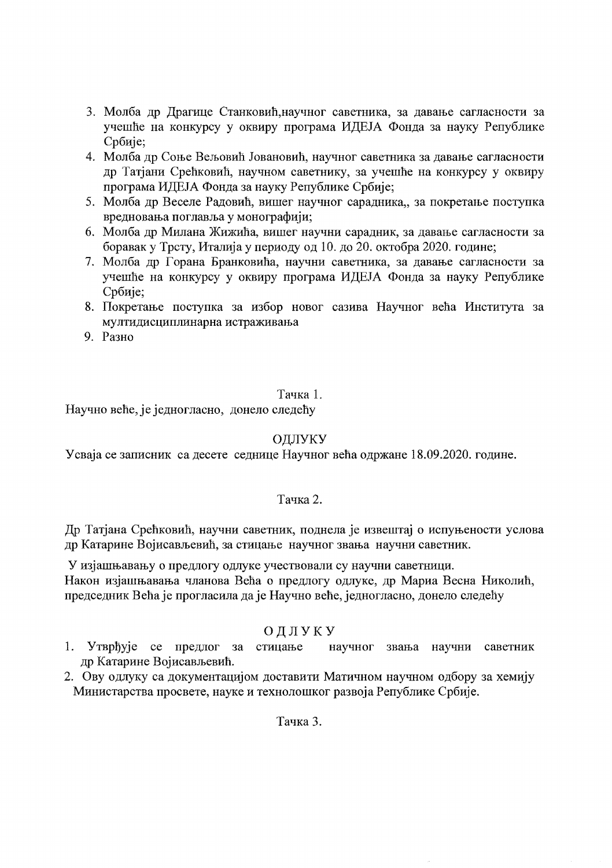- 3. Молба др Драгице Станковић, научног саветника, за давање сагласности за учешће на конкурсу у оквиру програма ИДЕЈА Фонда за науку Републике Србије;
- 4. Молба др Соње Вељовић Јовановић, научног саветника за давање сагласности др Татјани Срећковић, научном саветнику, за учешће на конкурсу у оквиру програма ИДЕЈА Фонда за науку Републике Србије;
- 5. Молба др Веселе Радовић, вишег научног сарадника,, за покретање поступка вредновања поглавља у монографији;
- 6. Молба др Милана Жижића, вишег научни сарадник, за давање сагласности за боравак у Трсту, Италија у периоду од 10. до 20. октобра 2020. године;
- 7. Молба др Горана Бранковића, научни саветника, за давање сагласности за учешће на конкурсу у оквиру програма ИДЕЈА Фонда за науку Републике Србије:
- 8. Покретање поступка за избор новог сазива Научног већа Института за мултидисциплинарна истраживања
- 9. Разно

# Тачка 1.

Научно веће, је једногласно, донело следећу

# ОДЛУКУ

Усваја се записник са десете седнице Научног већа одржане 18.09.2020. године.

# Тачка 2.

Др Татјана Срећковић, научни саветник, поднела је извештај о испуњености услова др Катарине Војисављевић, за стицање научног звања научни саветник.

У изјашњавању о предлогу одлуке учествовали су научни саветници. Након изјашњавања чланова Већа о предлогу одлуке, др Мариа Весна Николић, председник Већа је прогласила да је Научно веће, једногласно, донело следећу

# ОДЛУКУ

- 1. Утврђује се предлог за стицање научног звања научни саветник др Катарине Војисављевић.
- 2. Ову одлуку са документацијом доставити Матичном научном одбору за хемију Министарства просвете, науке и технолошког развоја Републике Србије.

Тачка 3.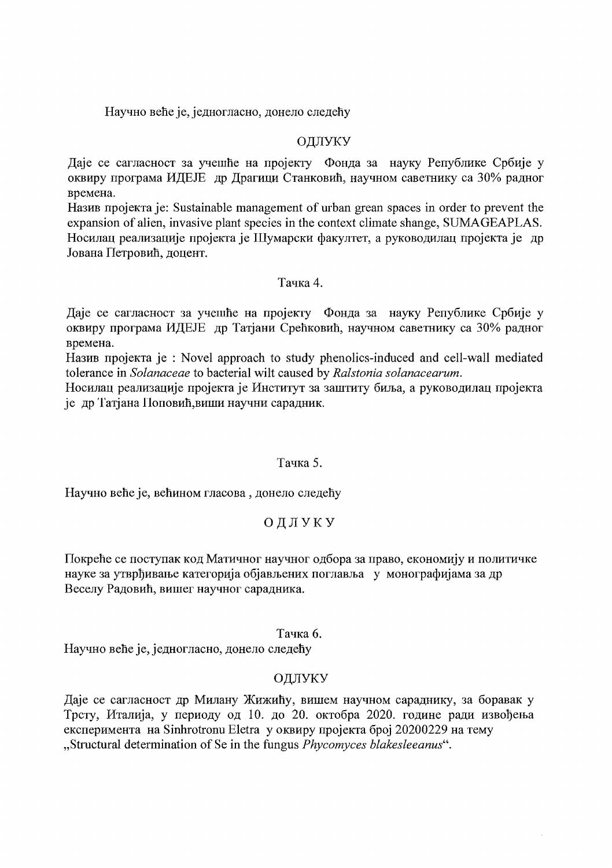Научно веће је, једногласно, донело следећу

### ОДЛУКУ

Даје се сагласност за учешће на пројекту Фонда за науку Републике Србије у оквиру програма ИДЕЈЕ др Драгици Станковић, научном саветнику са 30% радног времена.

Назив пројекта је: Sustainable management of urban grean spaces in order to prevent the expansion of alien, invasive plant species in the context climate shange, SUMAGEAPLAS. Носилац реализације пројекта је Шумарски факултет, а руководилац пројекта је др Јована Петровић, доцент.

#### Тачка 4.

Даје се сагласност за учешће на пројекту Фонда за науку Републике Србије у оквиру програма ИДЕЈЕ др Татјани Срећковић, научном саветнику са 30% радног времена.

Назив пројекта је : Novel approach to study phenolics-induced and cell-wall mediated tolerance in Solanaceae to bacterial wilt caused by Ralstonia solanacearum.

Носилац реализације пројекта је Институт за заштиту биља, а руководилац пројекта је др Татјана Поповић, виши научни сарадник.

#### Тачка 5.

Научно веће је, већином гласова, донело следећу

# ОДЛУКУ

Покреће се поступак код Матичног научног одбора за право, економију и политичке науке за утврђивање категорија објављених поглавља у монографијама за др Веселу Радовић, вишег научног сарадника.

# Тачка 6.

Научно веће је, једногласно, донело следећу

# ОДЛУКУ

Даје се сагласност др Милану Жижићу, вишем научном сараднику, за боравак у Трсту, Италија, у периоду од 10. до 20. октобра 2020. године ради извођења експеримента на Sinhrotronu Eletra у оквиру пројекта број 20200229 на тему "Structural determination of Se in the fungus *Phycomyces blakesleeanus*".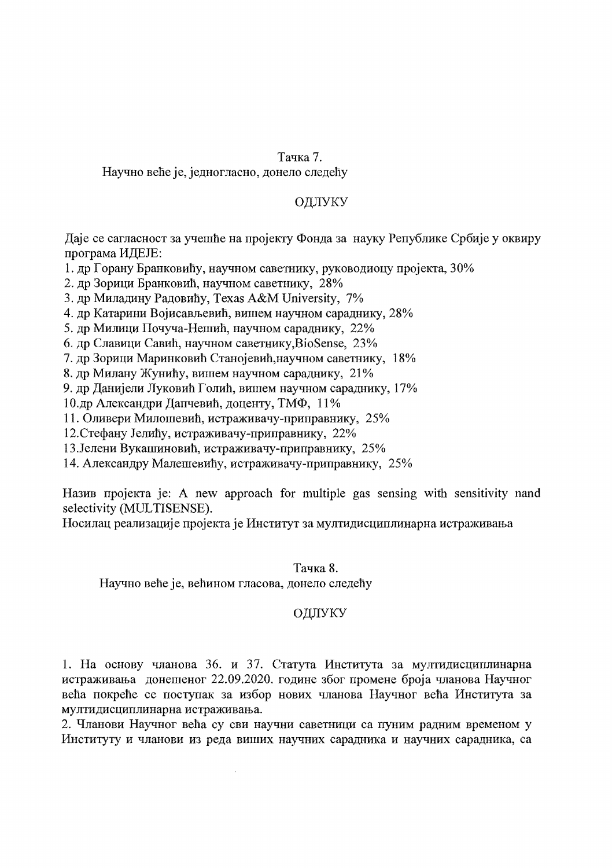#### Тачка 7.

Научно веће је, једногласно, донело следећу

### ОДЛУКУ

Даје се сагласност за учешће на пројекту Фонда за науку Републике Србије у оквиру програма ИДЕЈЕ:

1. др Горану Бранковићу, научном саветнику, руководиоцу пројекта, 30%

2. др Зорици Бранковић, научном саветнику, 28%

3. др Миладину Радовићу, Texas A&M University, 7%

4. др Катарини Војисављевић, вишем научном сараднику, 28%

5. др Милици Почуча-Нешић, научном сараднику, 22%

6. др Славици Савић, научном саветнику, BioSense, 23%

7. др Зорици Маринковић Станојевић, научном саветнику, 18%

8. др Милану Жунићу, вишем научном сараднику, 21%

9. др Данијели Луковић Голић, вишем научном сараднику, 17%

10.др Александри Дапчевић, доценту, ТМФ, 11%

11. Оливери Милошевић, истраживачу-приправнику, 25%

12. Стефану Јелићу, истраживачу-приправнику, 22%

13. Јелени Вукашиновић, истраживачу-приправнику, 25%

14. Александру Малешевићу, истраживачу-приправнику, 25%

Назив пројекта је: A new approach for multiple gas sensing with sensitivity nand selectivity (MULTISENSE).

Носилац реализације пројекта је Институт за мултидисциплинарна истраживања

#### Тачка 8.

Научно веће је, већином гласова, донело следећу

# ОДЛУКУ

1. На основу чланова 36. и 37. Статута Института за мултидисциплинарна истраживања донешеног 22.09.2020. године због промене броја чланова Научног већа покреће се поступак за избор нових чланова Научног већа Института за мултидисциплинарна истраживања.

2. Чланови Научног већа су сви научни саветници са пуним радним временом у Институту и чланови из реда виших научних сарадника и научних сарадника, са